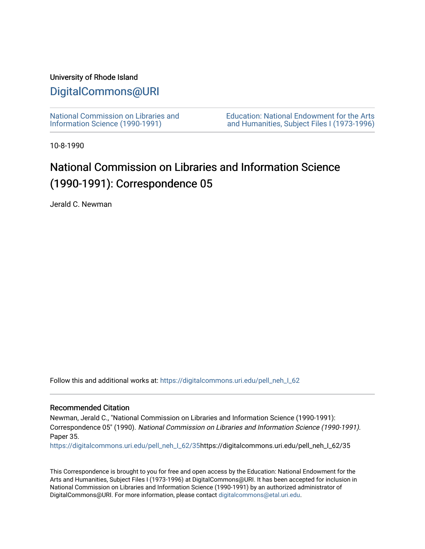## University of Rhode Island

## [DigitalCommons@URI](https://digitalcommons.uri.edu/)

[National Commission on Libraries and](https://digitalcommons.uri.edu/pell_neh_I_62) [Information Science \(1990-1991\)](https://digitalcommons.uri.edu/pell_neh_I_62) 

[Education: National Endowment for the Arts](https://digitalcommons.uri.edu/pell_neh_I)  [and Humanities, Subject Files I \(1973-1996\)](https://digitalcommons.uri.edu/pell_neh_I) 

10-8-1990

## National Commission on Libraries and Information Science (1990-1991): Correspondence 05

Jerald C. Newman

Follow this and additional works at: [https://digitalcommons.uri.edu/pell\\_neh\\_I\\_62](https://digitalcommons.uri.edu/pell_neh_I_62?utm_source=digitalcommons.uri.edu%2Fpell_neh_I_62%2F35&utm_medium=PDF&utm_campaign=PDFCoverPages) 

## Recommended Citation

Newman, Jerald C., "National Commission on Libraries and Information Science (1990-1991): Correspondence 05" (1990). National Commission on Libraries and Information Science (1990-1991). Paper 35.

[https://digitalcommons.uri.edu/pell\\_neh\\_I\\_62/35h](https://digitalcommons.uri.edu/pell_neh_I_62/35?utm_source=digitalcommons.uri.edu%2Fpell_neh_I_62%2F35&utm_medium=PDF&utm_campaign=PDFCoverPages)ttps://digitalcommons.uri.edu/pell\_neh\_I\_62/35

This Correspondence is brought to you for free and open access by the Education: National Endowment for the Arts and Humanities, Subject Files I (1973-1996) at DigitalCommons@URI. It has been accepted for inclusion in National Commission on Libraries and Information Science (1990-1991) by an authorized administrator of DigitalCommons@URI. For more information, please contact [digitalcommons@etal.uri.edu.](mailto:digitalcommons@etal.uri.edu)